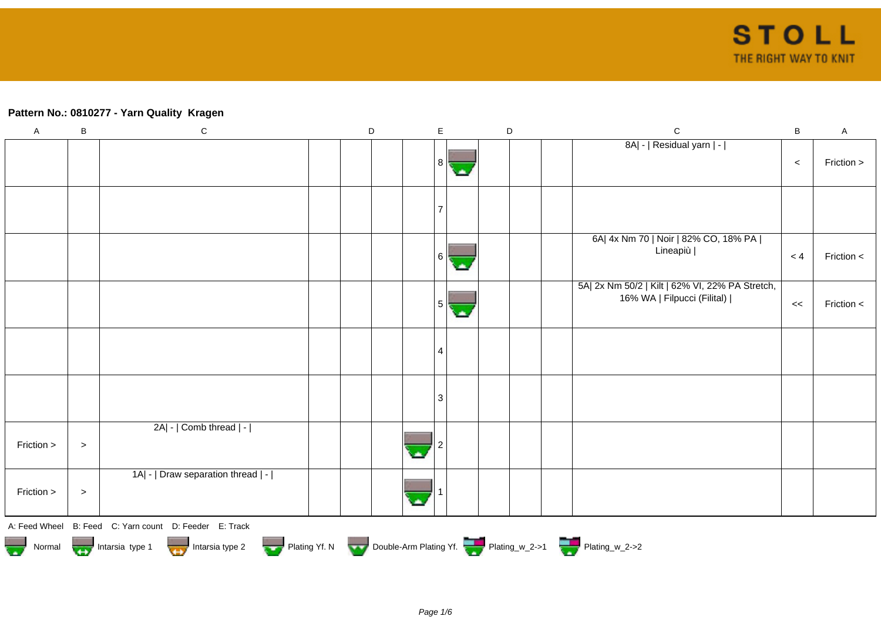## **Pattern No.: 0810277 - Yarn Quality Kragen**

| $\boldsymbol{\mathsf{A}}$ | $\sf B$ | ${\bf C}$                                                                   | $\mathsf D$ | $\mathsf E$    | $\mathsf D$ |  | $\mathsf{C}$                                                                   | $\sf B$ | $\mathsf A$ |
|---------------------------|---------|-----------------------------------------------------------------------------|-------------|----------------|-------------|--|--------------------------------------------------------------------------------|---------|-------------|
|                           |         |                                                                             |             | 8              |             |  | 8A  -   Residual yarn   -                                                      | $\,<$   | Friction >  |
|                           |         |                                                                             |             |                |             |  |                                                                                |         |             |
|                           |         |                                                                             |             | 6              |             |  | 6A  4x Nm 70   Noir   82% CO, 18% PA  <br>Lineapiù                             | < 4     | Friction <  |
|                           |         |                                                                             |             | 5 <sup>1</sup> |             |  | 5A  2x Nm 50/2   Kilt   62% VI, 22% PA Stretch,<br>16% WA   Filpucci (Filital) | <<      | Friction <  |
|                           |         |                                                                             |             | 4              |             |  |                                                                                |         |             |
|                           |         |                                                                             |             | 3              |             |  |                                                                                |         |             |
| Friction >                | $\,>$   | 2A  -   Comb thread   -                                                     |             |                |             |  |                                                                                |         |             |
| Friction >                | $\, >$  | 1A  -   Draw separation thread   -                                          |             |                |             |  |                                                                                |         |             |
|                           |         | A: Feed Wheel B: Feed C: Yarn count D: Feeder E: Track                      |             |                |             |  |                                                                                |         |             |
|                           |         | Normal Intarsia type 1 Intarsia type 2 Plating Yf. N Double-Arm Plating Yf. |             |                |             |  |                                                                                |         |             |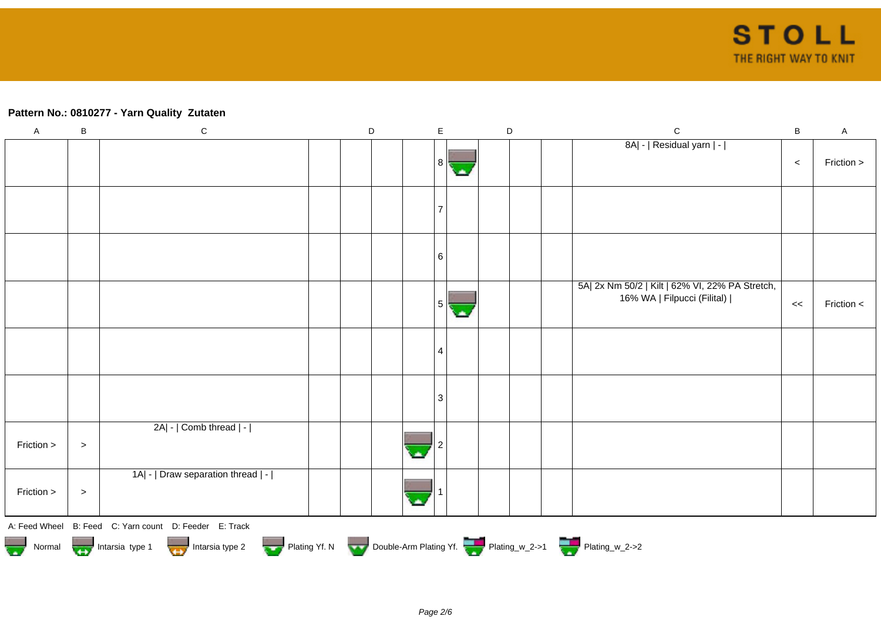## **Pattern No.: 0810277 - Yarn Quality Zutaten**

| $\boldsymbol{\mathsf{A}}$ | $\sf B$   | ${\bf C}$                                                                                                                                                      | $\mathsf D$ |   | $\mathsf E$ | $\mathsf D$ |  | $\mathbf C$                                                                    | $\sf B$ | $\mathsf A$ |
|---------------------------|-----------|----------------------------------------------------------------------------------------------------------------------------------------------------------------|-------------|---|-------------|-------------|--|--------------------------------------------------------------------------------|---------|-------------|
|                           |           |                                                                                                                                                                |             |   | 8           |             |  | 8A  -   Residual yarn   -                                                      | $\prec$ | Friction >  |
|                           |           |                                                                                                                                                                |             |   |             |             |  |                                                                                |         |             |
|                           |           |                                                                                                                                                                |             |   | 6           |             |  |                                                                                |         |             |
|                           |           |                                                                                                                                                                |             |   | 5           |             |  | 5A  2x Nm 50/2   Kilt   62% VI, 22% PA Stretch,<br>16% WA   Filpucci (Filital) | <<      | Friction <  |
|                           |           |                                                                                                                                                                |             |   | 4           |             |  |                                                                                |         |             |
|                           |           |                                                                                                                                                                |             |   | 3           |             |  |                                                                                |         |             |
| Friction >                | $\,>$     | $2A$ - $ $ Comb thread $ $ - $ $                                                                                                                               |             | × |             |             |  |                                                                                |         |             |
| Friction >                | $\, > \,$ | 1A  -   Draw separation thread   -                                                                                                                             |             |   |             |             |  |                                                                                |         |             |
|                           |           | A: Feed Wheel B: Feed C: Yarn count D: Feeder E: Track<br>Normal Intarsia type 1 Intarsia type 2 Plating Yf. N Double-Arm Plating Yf. N Double-Arm Plating Yf. |             |   |             |             |  |                                                                                |         |             |
|                           |           |                                                                                                                                                                |             |   |             |             |  |                                                                                |         |             |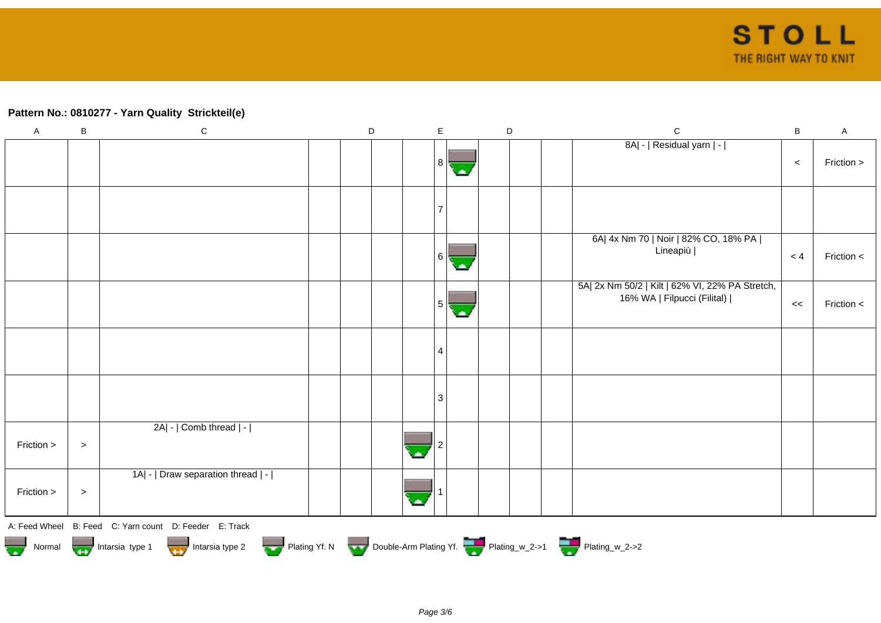## **Pattern No.: 0810277 - Yarn Quality Strickteil(e)**

| $\mathsf A$ | $\sf B$                                                                     | ${\bf C}$                                              |  | $\mathsf D$ |  | $\mathsf E$    |  | $\mathsf D$ |  |  | $\mathsf{C}$                                                                   | $\sf B$ | $\mathsf A$ |
|-------------|-----------------------------------------------------------------------------|--------------------------------------------------------|--|-------------|--|----------------|--|-------------|--|--|--------------------------------------------------------------------------------|---------|-------------|
|             |                                                                             |                                                        |  |             |  | 8              |  |             |  |  | 8A  -   Residual yarn   -                                                      | $\,<\,$ | Friction >  |
|             |                                                                             |                                                        |  |             |  |                |  |             |  |  |                                                                                |         |             |
|             |                                                                             |                                                        |  |             |  | 6 I            |  |             |  |  | 6A  4x Nm 70   Noir   82% CO, 18% PA  <br>Lineapiù                             | < 4     | Friction <  |
|             |                                                                             |                                                        |  |             |  | 5 <sup>1</sup> |  |             |  |  | 5A  2x Nm 50/2   Kilt   62% VI, 22% PA Stretch,<br>16% WA   Filpucci (Filital) | <<      | Friction <  |
|             |                                                                             |                                                        |  |             |  | 4              |  |             |  |  |                                                                                |         |             |
|             |                                                                             |                                                        |  |             |  | 3              |  |             |  |  |                                                                                |         |             |
| Friction >  | $\, > \,$                                                                   | 2A  -   Comb thread   -                                |  |             |  |                |  |             |  |  |                                                                                |         |             |
| Friction >  | $\,>$                                                                       | 1A  -   Draw separation thread   -                     |  |             |  |                |  |             |  |  |                                                                                |         |             |
|             |                                                                             | A: Feed Wheel B: Feed C: Yarn count D: Feeder E: Track |  |             |  |                |  |             |  |  |                                                                                |         |             |
|             | Normal Intarsia type 1 Intarsia type 2 Plating Yf. N Double-Arm Plating Yf. |                                                        |  |             |  |                |  |             |  |  |                                                                                |         |             |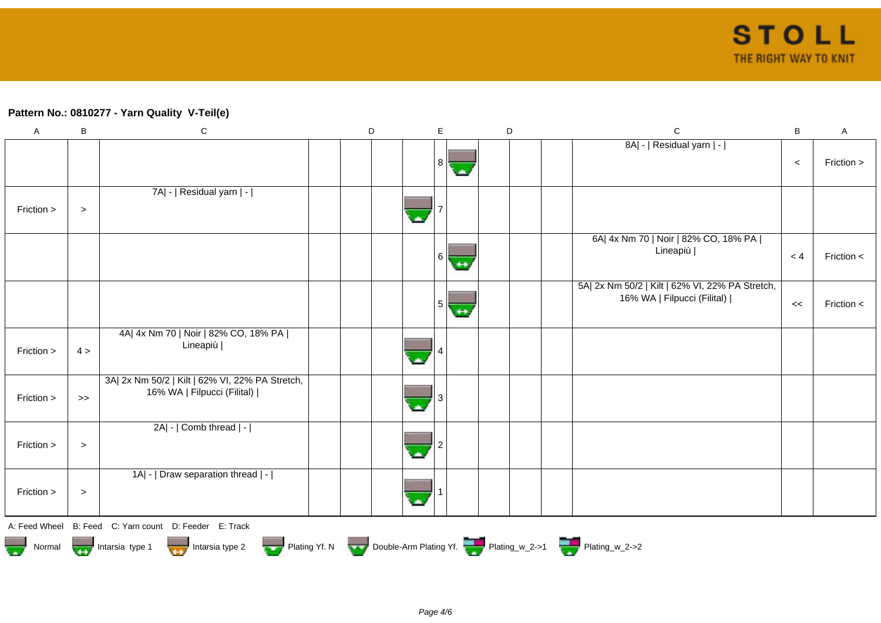## **Pattern No.: 0810277 - Yarn Quality V-Teil(e)**

| $\boldsymbol{\mathsf{A}}$ | B      | ${\bf C}$                                                                      | D | E                 | D | $\mathsf{C}$                                                                   | $\sf B$ | $\boldsymbol{\mathsf{A}}$ |
|---------------------------|--------|--------------------------------------------------------------------------------|---|-------------------|---|--------------------------------------------------------------------------------|---------|---------------------------|
|                           |        |                                                                                |   | 8 <sup>1</sup>    |   | 8A  -   Residual yarn   -                                                      | $\,<$   | Friction >                |
| Friction >                | $\, >$ | 7A  -   Residual yarn   -                                                      |   |                   |   |                                                                                |         |                           |
|                           |        |                                                                                |   | 6<br>↔            |   | 6A  4x Nm 70   Noir   82% CO, 18% PA  <br>Lineapiù                             | < 4     | Friction <                |
|                           |        |                                                                                |   | 5<br>$\leftarrow$ |   | 5A  2x Nm 50/2   Kilt   62% VI, 22% PA Stretch,<br>16% WA   Filpucci (Filital) | <<      | Friction <                |
| Friction >                | 4 >    | 4A  4x Nm 70   Noir   82% CO, 18% PA  <br>Lineapiù                             |   |                   |   |                                                                                |         |                           |
| Friction >                | $>>$   | 3A  2x Nm 50/2   Kilt   62% VI, 22% PA Stretch,<br>16% WA   Filpucci (Filital) |   |                   |   |                                                                                |         |                           |
| Friction >                | $\, >$ | 2A  -   Comb thread   -                                                        |   |                   |   |                                                                                |         |                           |
| Friction >                | $\, >$ | 1A  -   Draw separation thread   -                                             |   |                   |   |                                                                                |         |                           |
| A: Feed Wheel             |        | B: Feed C: Yarn count D: Feeder E: Track                                       |   |                   |   |                                                                                |         |                           |
| 35.57<br>Normal           |        | Intarsia type 1<br>Intarsia type 2                                             |   |                   |   | Plating Yf. N Double-Arm Plating Yf. Plating_w_2->1 Plating_w_2->2             |         |                           |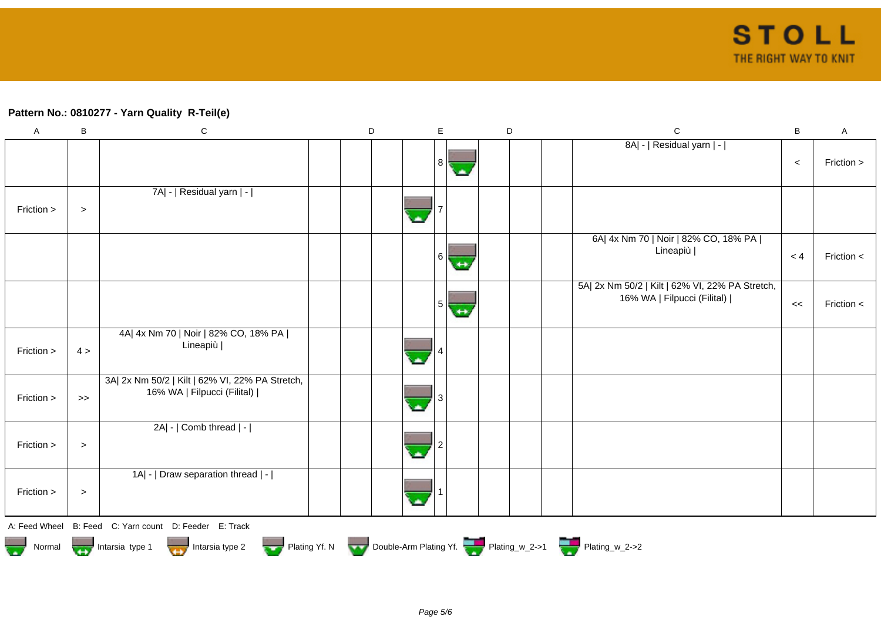## **Pattern No.: 0810277 - Yarn Quality R-Teil(e)**

| $\boldsymbol{\mathsf{A}}$ | B      | ${\bf C}$                                                                      | D | E              | D | $\mathsf{C}$                                                                   | B     | A            |
|---------------------------|--------|--------------------------------------------------------------------------------|---|----------------|---|--------------------------------------------------------------------------------|-------|--------------|
|                           |        |                                                                                |   | 8 <sup>1</sup> |   | 8A  -   Residual yarn   -                                                      | $\,<$ | Friction >   |
| Friction >                | $\,>$  | 7A  -   Residual yarn   -                                                      |   |                |   |                                                                                |       |              |
|                           |        |                                                                                |   | 6              |   | 6A  4x Nm 70   Noir   82% CO, 18% PA  <br>Lineapiù                             | < 4   | Friction $<$ |
|                           |        |                                                                                |   | 5              |   | 5A  2x Nm 50/2   Kilt   62% VI, 22% PA Stretch,<br>16% WA   Filpucci (Filital) | <<    | Friction <   |
| Friction >                | 4 >    | 4A  4x Nm 70   Noir   82% CO, 18% PA  <br>Lineapiù                             |   |                |   |                                                                                |       |              |
| Friction >                | $>$    | 3A  2x Nm 50/2   Kilt   62% VI, 22% PA Stretch,<br>16% WA   Filpucci (Filital) |   |                |   |                                                                                |       |              |
| Friction >                | $\geq$ | 2A  -   Comb thread   -                                                        |   |                |   |                                                                                |       |              |
| Friction >                | $\,>$  | 1A  -   Draw separation thread   -                                             |   |                |   |                                                                                |       |              |
| A: Feed Wheel             |        | B: Feed C: Yarn count D: Feeder E: Track                                       |   |                |   |                                                                                |       |              |
|                           |        | Normal <b>The Intersection</b> Intersia type 1<br>Intarsia type 2              |   |                |   | Plating Yf. N Double-Arm Plating Yf. Plating w_2->1 Plating w_2->2             |       |              |